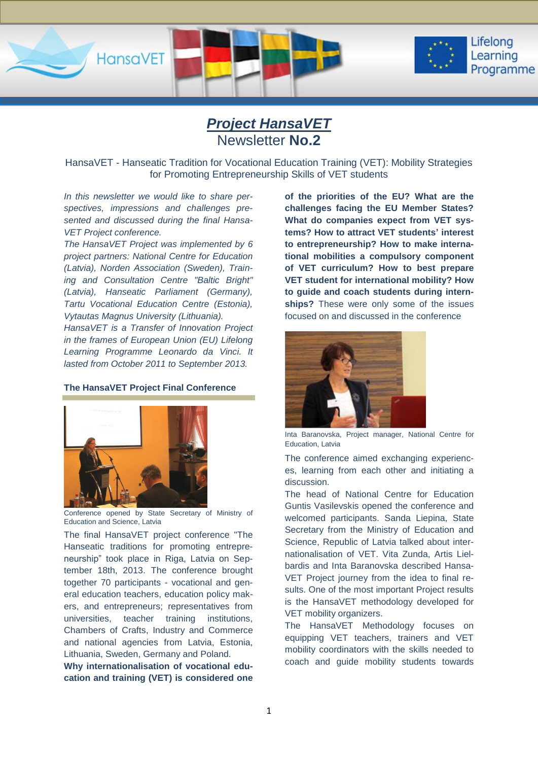

# *Project HansaVET* Newsletter **No.2**

HansaVET - Hanseatic Tradition for Vocational Education Training (VET): Mobility Strategies for Promoting Entrepreneurship Skills of VET students

*In this newsletter we would like to share perspectives, impressions and challenges presented and discussed during the final Hansa-VET Project conference.*

*The HansaVET Project was implemented by 6 project partners: National Centre for Education (Latvia), Norden Association (Sweden), Training and Consultation Centre "Baltic Bright" (Latvia), Hanseatic Parliament (Germany), Tartu Vocational Education Centre (Estonia), Vytautas Magnus University (Lithuania).*

*HansaVET is a Transfer of Innovation Project in the frames of European Union (EU) Lifelong Learning Programme Leonardo da Vinci. It lasted from October 2011 to September 2013.* 

### **The HansaVET Project Final Conference**



Conference opened by State Secretary of Ministry of Education and Science, Latvia

The final HansaVET project conference "The Hanseatic traditions for promoting entrepreneurship" took place in Riga, Latvia on September 18th, 2013. The conference brought together 70 participants - vocational and general education teachers, education policy makers, and entrepreneurs; representatives from universities, teacher training institutions, Chambers of Crafts, Industry and Commerce and national agencies from Latvia, Estonia, Lithuania, Sweden, Germany and Poland.

**Why internationalisation of vocational education and training (VET) is considered one**  **of the priorities of the EU? What are the challenges facing the EU Member States? What do companies expect from VET systems? How to attract VET students' interest to entrepreneurship? How to make international mobilities a compulsory component of VET curriculum? How to best prepare VET student for international mobility? How to guide and coach students during internships?** These were only some of the issues focused on and discussed in the conference



Inta Baranovska, Project manager, National Centre for Education, Latvia

The conference aimed exchanging experiences, learning from each other and initiating a discussion.

The head of National Centre for Education Guntis Vasilevskis opened the conference and welcomed participants. Sanda Liepina, State Secretary from the Ministry of Education and Science, Republic of Latvia talked about internationalisation of VET. Vita Zunda, Artis Lielbardis and Inta Baranovska described Hansa-VET Project journey from the idea to final results. One of the most important Project results is the HansaVET methodology developed for VET mobility organizers.

The HansaVET Methodology focuses on equipping VET teachers, trainers and VET mobility coordinators with the skills needed to coach and guide mobility students towards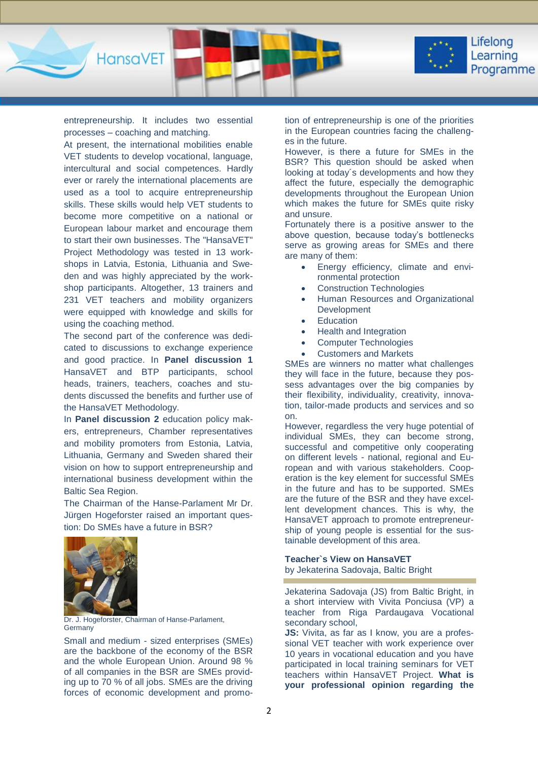

entrepreneurship. It includes two essential processes – coaching and matching.

At present, the international mobilities enable VET students to develop vocational, language, intercultural and social competences. Hardly ever or rarely the international placements are used as a tool to acquire entrepreneurship skills. These skills would help VET students to become more competitive on a national or European labour market and encourage them to start their own businesses. The "HansaVET" Project Methodology was tested in 13 workshops in Latvia, Estonia, Lithuania and Sweden and was highly appreciated by the workshop participants. Altogether, 13 trainers and 231 VET teachers and mobility organizers were equipped with knowledge and skills for using the coaching method.

The second part of the conference was dedicated to discussions to exchange experience and good practice. In **Panel discussion 1**  HansaVET and BTP participants, school heads, trainers, teachers, coaches and students discussed the benefits and further use of the HansaVET Methodology.

In **Panel discussion 2** education policy makers, entrepreneurs, Chamber representatives and mobility promoters from Estonia, Latvia, Lithuania, Germany and Sweden shared their vision on how to support entrepreneurship and international business development within the Baltic Sea Region.

The Chairman of the Hanse-Parlament Mr Dr. Jürgen Hogeforster raised an important question: Do SMEs have a future in BSR?



Dr. J. Hogeforster, Chairman of Hanse-Parlament, **Germany** 

Small and medium - sized enterprises (SMEs) are the backbone of the economy of the BSR and the whole European Union. Around 98 % of all companies in the BSR are SMEs providing up to 70 % of all jobs. SMEs are the driving forces of economic development and promotion of entrepreneurship is one of the priorities in the European countries facing the challenges in the future.

However, is there a future for SMEs in the BSR? This question should be asked when looking at today´s developments and how they affect the future, especially the demographic developments throughout the European Union which makes the future for SMEs quite risky and unsure.

Fortunately there is a positive answer to the above question, because today's bottlenecks serve as growing areas for SMEs and there are many of them:

- Energy efficiency, climate and environmental protection
- Construction Technologies
- Human Resources and Organizational Development
- Education
- Health and Integration
- Computer Technologies
- Customers and Markets

SMEs are winners no matter what challenges they will face in the future, because they possess advantages over the big companies by their flexibility, individuality, creativity, innovation, tailor-made products and services and so on.

However, regardless the very huge potential of individual SMEs, they can become strong, successful and competitive only cooperating on different levels - national, regional and European and with various stakeholders. Cooperation is the key element for successful SMEs in the future and has to be supported. SMEs are the future of the BSR and they have excellent development chances. This is why, the HansaVET approach to promote entrepreneurship of young people is essential for the sustainable development of this area.

### **Teacher`s View on HansaVET** by Jekaterina Sadovaja, Baltic Bright

Jekaterina Sadovaja (JS) from Baltic Bright, in a short interview with Vivita Ponciusa (VP) a teacher from Riga Pardaugava Vocational secondary school,

**JS:** Vivita, as far as I know, you are a professional VET teacher with work experience over 10 years in vocational education and you have participated in local training seminars for VET teachers within HansaVET Project. **What is your professional opinion regarding the**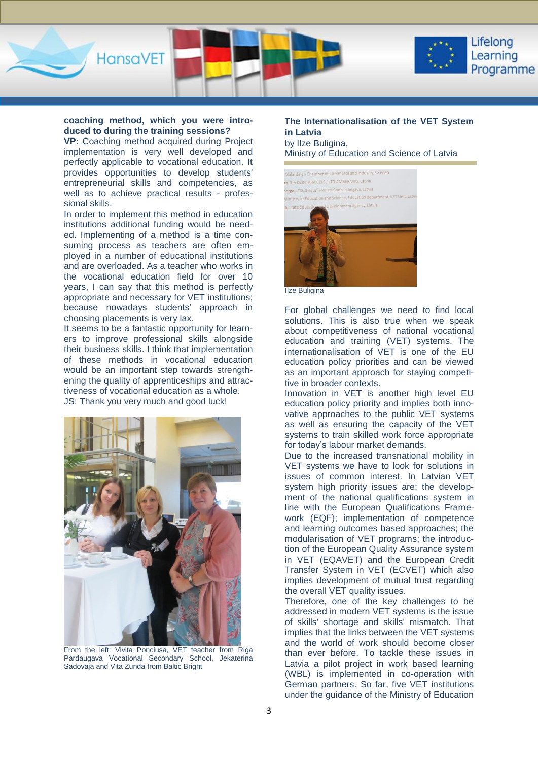

HansaVET

### **coaching method, which you were introduced to during the training sessions?**

**VP:** Coaching method acquired during Project implementation is very well developed and perfectly applicable to vocational education. It provides opportunities to develop students' entrepreneurial skills and competencies, as well as to achieve practical results - professional skills.

In order to implement this method in education institutions additional funding would be needed. Implementing of a method is a time consuming process as teachers are often employed in a number of educational institutions and are overloaded. As a teacher who works in the vocational education field for over 10 years, I can say that this method is perfectly appropriate and necessary for VET institutions; because nowadays students' approach in choosing placements is very lax.

It seems to be a fantastic opportunity for learners to improve professional skills alongside their business skills. I think that implementation of these methods in vocational education would be an important step towards strengthening the quality of apprenticeships and attractiveness of vocational education as a whole. JS: Thank you very much and good luck!



From the left: Vivita Ponciusa, VET teacher from Riga Pardaugava Vocational Secondary School, Jekaterina Sadovaja and Vita Zunda from Baltic Bright

# **The Internationalisation of the VET System in Latvia**

by Ilze Buligina, Ministry of Education and Science of Latvia



Ilze Buligina

For global challenges we need to find local solutions. This is also true when we speak about competitiveness of national vocational education and training (VET) systems. The internationalisation of VET is one of the EU education policy priorities and can be viewed as an important approach for staying competitive in broader contexts.

Innovation in VET is another high level EU education policy priority and implies both innovative approaches to the public VET systems as well as ensuring the capacity of the VET systems to train skilled work force appropriate for today's labour market demands.

Due to the increased transnational mobility in VET systems we have to look for solutions in issues of common interest. In Latvian VET system high priority issues are: the development of the national qualifications system in line with the European Qualifications Framework (EQF); implementation of competence and learning outcomes based approaches; the modularisation of VET programs; the introduction of the European Quality Assurance system in VET (EQAVET) and the European Credit Transfer System in VET (ECVET) which also implies development of mutual trust regarding the overall VET quality issues.

Therefore, one of the key challenges to be addressed in modern VET systems is the issue of skills' shortage and skills' mismatch. That implies that the links between the VET systems and the world of work should become closer than ever before. To tackle these issues in Latvia a pilot project in work based learning (WBL) is implemented in co-operation with German partners. So far, five VET institutions under the guidance of the Ministry of Education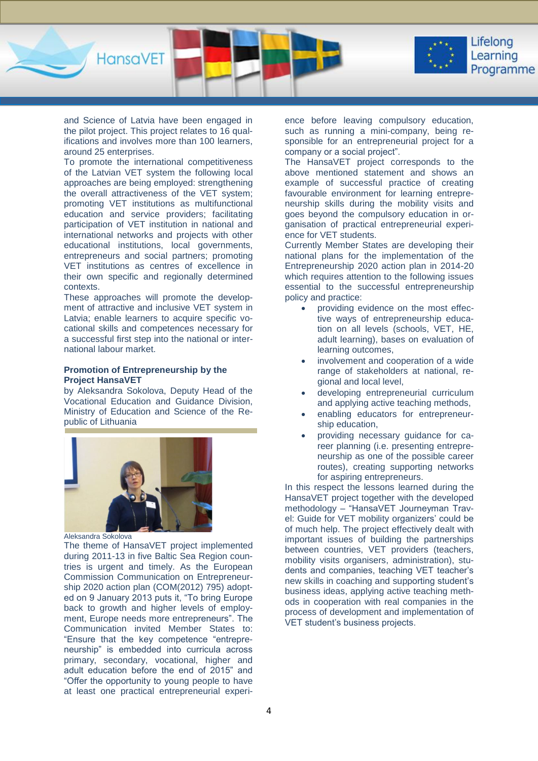

and Science of Latvia have been engaged in the pilot project. This project relates to 16 qualifications and involves more than 100 learners, around 25 enterprises.

HansaVET

To promote the international competitiveness of the Latvian VET system the following local approaches are being employed: strengthening the overall attractiveness of the VET system; promoting VET institutions as multifunctional education and service providers; facilitating participation of VET institution in national and international networks and projects with other educational institutions, local governments, entrepreneurs and social partners; promoting VET institutions as centres of excellence in their own specific and regionally determined contexts.

These approaches will promote the development of attractive and inclusive VET system in Latvia; enable learners to acquire specific vocational skills and competences necessary for a successful first step into the national or international labour market.

### **Promotion of Entrepreneurship by the Project HansaVET**

by Aleksandra Sokolova, Deputy Head of the Vocational Education and Guidance Division, Ministry of Education and Science of the Republic of Lithuania



Aleksandra Sokolova

The theme of HansaVET project implemented during 2011-13 in five Baltic Sea Region countries is urgent and timely. As the European Commission Communication on Entrepreneurship 2020 action plan (COM(2012) 795) adopted on 9 January 2013 puts it, "To bring Europe back to growth and higher levels of employment, Europe needs more entrepreneurs". The Communication invited Member States to: "Ensure that the key competence "entrepreneurship" is embedded into curricula across primary, secondary, vocational, higher and adult education before the end of 2015" and "Offer the opportunity to young people to have at least one practical entrepreneurial experience before leaving compulsory education, such as running a mini-company, being responsible for an entrepreneurial project for a company or a social project".

The HansaVET project corresponds to the above mentioned statement and shows an example of successful practice of creating favourable environment for learning entrepreneurship skills during the mobility visits and goes beyond the compulsory education in organisation of practical entrepreneurial experience for VET students.

Currently Member States are developing their national plans for the implementation of the Entrepreneurship 2020 action plan in 2014-20 which requires attention to the following issues essential to the successful entrepreneurship policy and practice:

- providing evidence on the most effective ways of entrepreneurship education on all levels (schools, VET, HE, adult learning), bases on evaluation of learning outcomes,
- involvement and cooperation of a wide range of stakeholders at national, regional and local level,
- developing entrepreneurial curriculum and applying active teaching methods,
- enabling educators for entrepreneurship education,
- providing necessary guidance for career planning (i.e. presenting entrepreneurship as one of the possible career routes), creating supporting networks for aspiring entrepreneurs.

In this respect the lessons learned during the HansaVET project together with the developed methodology – "HansaVET Journeyman Travel: Guide for VET mobility organizers' could be of much help. The project effectively dealt with important issues of building the partnerships between countries, VET providers (teachers, mobility visits organisers, administration), students and companies, teaching VET teacher's new skills in coaching and supporting student's business ideas, applying active teaching methods in cooperation with real companies in the process of development and implementation of VET student's business projects.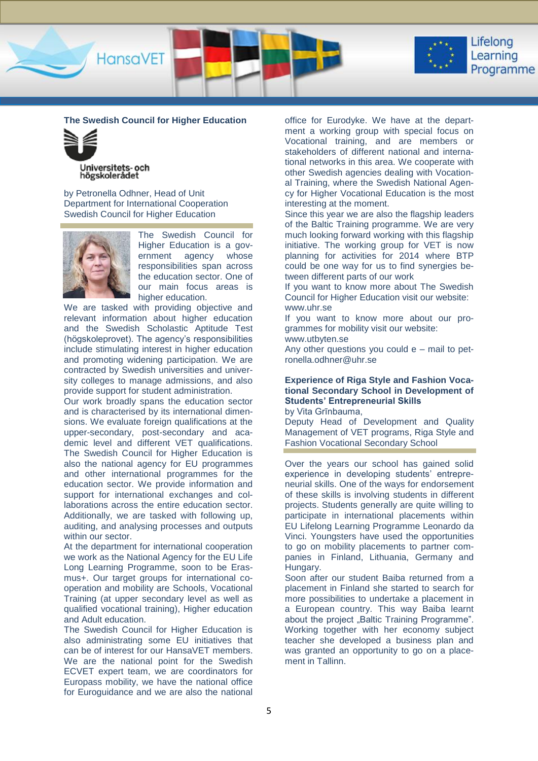

**The Swedish Council for Higher Education**

HansaVET



by Petronella Odhner, Head of Unit Department for International Cooperation Swedish Council for Higher Education



The Swedish Council for Higher Education is a government agency whose responsibilities span across the education sector. One of our main focus areas is higher education.

We are tasked with providing objective and relevant information about higher education and the Swedish Scholastic Aptitude Test (högskoleprovet). The agency's responsibilities include stimulating interest in higher education and promoting widening participation. We are contracted by Swedish universities and university colleges to manage admissions, and also provide support for student administration.

Our work broadly spans the education sector and is characterised by its international dimensions. We evaluate foreign qualifications at the upper-secondary, post-secondary and academic level and different VET qualifications. The Swedish Council for Higher Education is also the national agency for EU programmes and other international programmes for the education sector. We provide information and support for international exchanges and collaborations across the entire education sector. Additionally, we are tasked with following up, auditing, and analysing processes and outputs within our sector.

At the department for international cooperation we work as the National Agency for the EU Life Long Learning Programme, soon to be Erasmus+. Our target groups for international cooperation and mobility are Schools, Vocational Training (at upper secondary level as well as qualified vocational training), Higher education and Adult education.

The Swedish Council for Higher Education is also administrating some EU initiatives that can be of interest for our HansaVET members. We are the national point for the Swedish ECVET expert team, we are coordinators for Europass mobility, we have the national office for Euroguidance and we are also the national office for Eurodyke. We have at the department a working group with special focus on Vocational training, and are members or stakeholders of different national and international networks in this area. We cooperate with other Swedish agencies dealing with Vocational Training, where the Swedish National Agency for Higher Vocational Education is the most interesting at the moment.

Since this year we are also the flagship leaders of the Baltic Training programme. We are very much looking forward working with this flagship initiative. The working group for VET is now planning for activities for 2014 where BTP could be one way for us to find synergies between different parts of our work

If you want to know more about The Swedish Council for Higher Education visit our website: www.uhr.se

If you want to know more about our programmes for mobility visit our website:

www.utbyten.se

Any other questions you could e – mail to petronella.odhner@uhr.se

## **Experience of Riga Style and Fashion Vocational Secondary School in Development of Students' Entrepreneurial Skills**

by Vita Grīnbauma,

Deputy Head of Development and Quality Management of VET programs, Riga Style and Fashion Vocational Secondary School

Over the years our school has gained solid experience in developing students' entrepreneurial skills. One of the ways for endorsement of these skills is involving students in different projects. Students generally are quite willing to participate in international placements within EU Lifelong Learning Programme Leonardo da Vinci. Youngsters have used the opportunities to go on mobility placements to partner companies in Finland, Lithuania, Germany and Hungary.

Soon after our student Baiba returned from a placement in Finland she started to search for more possibilities to undertake a placement in a European country. This way Baiba learnt about the project "Baltic Training Programme". Working together with her economy subject teacher she developed a business plan and was granted an opportunity to go on a placement in Tallinn.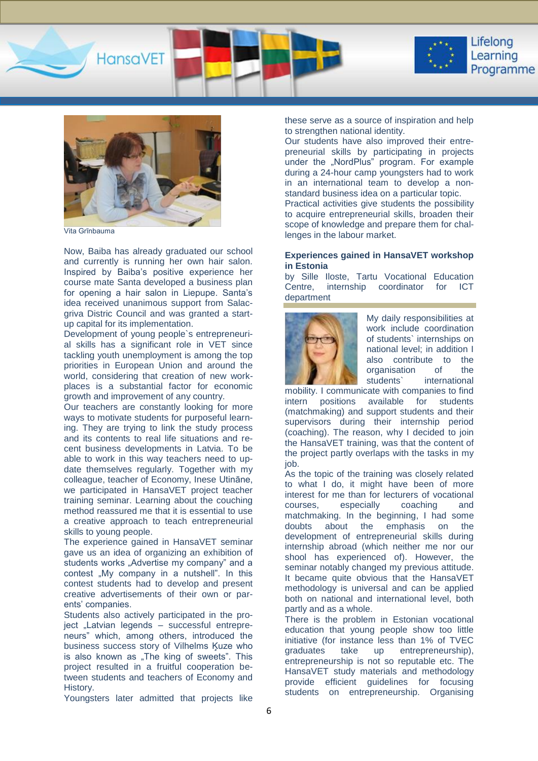



Vita Grīnbauma

Now, Baiba has already graduated our school and currently is running her own hair salon. Inspired by Baiba's positive experience her course mate Santa developed a business plan for opening a hair salon in Liepupe. Santa's idea received unanimous support from Salacgriva Distric Council and was granted a startup capital for its implementation.

Development of young people`s entrepreneurial skills has a significant role in VET since tackling youth unemployment is among the top priorities in European Union and around the world, considering that creation of new workplaces is a substantial factor for economic growth and improvement of any country.

Our teachers are constantly looking for more ways to motivate students for purposeful learning. They are trying to link the study process and its contents to real life situations and recent business developments in Latvia. To be able to work in this way teachers need to update themselves regularly. Together with my colleague, teacher of Economy, Inese Utināne, we participated in HansaVET project teacher training seminar. Learning about the couching method reassured me that it is essential to use a creative approach to teach entrepreneurial skills to young people.

The experience gained in HansaVET seminar gave us an idea of organizing an exhibition of students works "Advertise my company" and a contest "My company in a nutshell". In this contest students had to develop and present creative advertisements of their own or parents' companies.

Students also actively participated in the project "Latvian legends – successful entrepreneurs" which, among others, introduced the business success story of Vilhelms Ķuze who is also known as "The king of sweets". This project resulted in a fruitful cooperation between students and teachers of Economy and History.

Youngsters later admitted that projects like

these serve as a source of inspiration and help to strengthen national identity.

Our students have also improved their entrepreneurial skills by participating in projects under the "NordPlus" program. For example during a 24-hour camp youngsters had to work in an international team to develop a nonstandard business idea on a particular topic.

Practical activities give students the possibility to acquire entrepreneurial skills, broaden their scope of knowledge and prepare them for challenges in the labour market.

### **Experiences gained in HansaVET workshop in Estonia**

by Sille Iloste, Tartu Vocational Education Centre, internship coordinator for ICT department



My daily responsibilities at work include coordination of students` internships on national level; in addition I also contribute to the organisation of the students` international

mobility. I communicate with companies to find intern positions available for students (matchmaking) and support students and their supervisors during their internship period (coaching). The reason, why I decided to join the HansaVET training, was that the content of the project partly overlaps with the tasks in my iob.

As the topic of the training was closely related to what I do, it might have been of more interest for me than for lecturers of vocational courses, especially coaching and matchmaking. In the beginning, I had some doubts about the emphasis on the development of entrepreneurial skills during internship abroad (which neither me nor our shool has experienced of). However, the seminar notably changed my previous attitude. It became quite obvious that the HansaVET methodology is universal and can be applied both on national and international level, both partly and as a whole.

There is the problem in Estonian vocational education that young people show too little initiative (for instance less than 1% of TVEC graduates take up entrepreneurship), entrepreneurship is not so reputable etc. The HansaVET study materials and methodology provide efficient guidelines for focusing students on entrepreneurship. Organising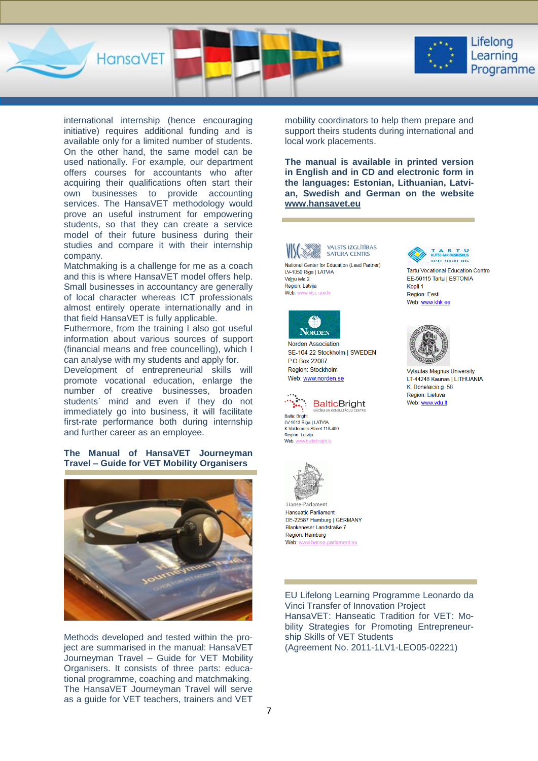



Lifelong Learning Programme

international internship (hence encouraging initiative) requires additional funding and is available only for a limited number of students. On the other hand, the same model can be used nationally. For example, our department offers courses for accountants who after acquiring their qualifications often start their own businesses to provide accounting services. The HansaVET methodology would prove an useful instrument for empowering students, so that they can create a service model of their future business during their studies and compare it with their internship company.

Matchmaking is a challenge for me as a coach and this is where HansaVET model offers help. Small businesses in accountancy are generally of local character whereas ICT professionals almost entirely operate internationally and in that field HansaVET is fully applicable.

Futhermore, from the training I also got useful information about various sources of support (financial means and free councelling), which I can analyse with my students and apply for.

Development of entrepreneurial skills will promote vocational education, enlarge the number of creative businesses, broaden students` mind and even if they do not immediately go into business, it will facilitate first-rate performance both during internship and further career as an employee.

### **The Manual of HansaVET Journeyman Travel – Guide for VET Mobility Organisers**



Methods developed and tested within the project are summarised in the manual: HansaVET Journeyman Travel – Guide for VET Mobility Organisers. It consists of three parts: educational programme, coaching and matchmaking. The HansaVET Journeyman Travel will serve as a guide for VET teachers, trainers and VET

mobility coordinators to help them prepare and support theirs students during international and local work placements.

**The manual is available in printed version in English and in CD and electronic form in the languages: Estonian, Lithuanian, Latvian, Swedish and German on the website [www.hansavet.eu](http://www.hansavet.eu/)**



LV-1050 Riga | LATVIA Valnu iela 2 Region: Latvija Web: v c gov ly



Norden Association SE-104 22 Stockholm | SWEDEN P.O.Box 22087 Region: Stockholm Web: www.norden.se



Baltic Bright LV-1013 Riga | LATVIA K.Valdemara Street 118-400 Region: Latvija Web:



Hanse-Parlament **Hanseatic Parliament** DE-22587 Hamburg | GERMANY Blankeneser Landstraße 7 Region: Hamburg Web: www.hanse-parlament.eu



**Tartu Vocational Education Centre** EE-50115 Tartu | ESTONIA Kopli 1 Region: Eesti Web: www.khk.ee



**Vytautas Magnus University** LT-44248 Kaunas | LITHUANIA K Donelaicio g 58 Region: Lietuva Web: www.vdu.lt

EU Lifelong Learning Programme Leonardo da Vinci Transfer of Innovation Project HansaVET: Hanseatic Tradition for VET: Mobility Strategies for Promoting Entrepreneurship Skills of VET Students (Agreement No. 2011-1LV1-LEO05-02221)